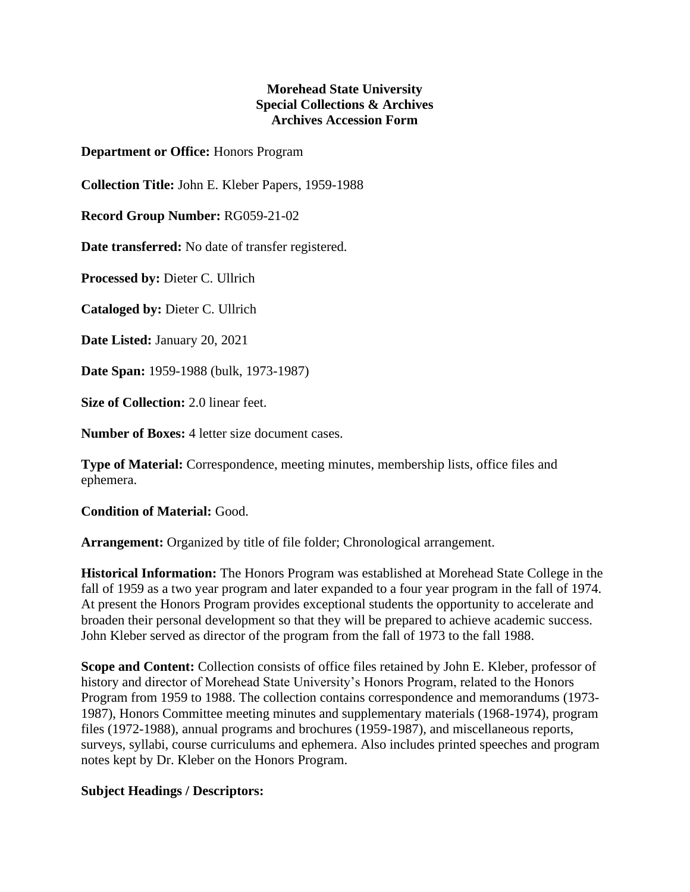## **Morehead State University Special Collections & Archives Archives Accession Form**

**Department or Office:** Honors Program

**Collection Title:** John E. Kleber Papers, 1959-1988

**Record Group Number:** RG059-21-02

**Date transferred:** No date of transfer registered.

**Processed by:** Dieter C. Ullrich

**Cataloged by:** Dieter C. Ullrich

**Date Listed:** January 20, 2021

**Date Span:** 1959-1988 (bulk, 1973-1987)

**Size of Collection:** 2.0 linear feet.

**Number of Boxes:** 4 letter size document cases.

**Type of Material:** Correspondence, meeting minutes, membership lists, office files and ephemera.

**Condition of Material:** Good.

**Arrangement:** Organized by title of file folder; Chronological arrangement.

**Historical Information:** The Honors Program was established at Morehead State College in the fall of 1959 as a two year program and later expanded to a four year program in the fall of 1974. At present the Honors Program provides exceptional students the opportunity to accelerate and broaden their personal development so that they will be prepared to achieve academic success. John Kleber served as director of the program from the fall of 1973 to the fall 1988.

**Scope and Content:** Collection consists of office files retained by John E. Kleber, professor of history and director of Morehead State University's Honors Program, related to the Honors Program from 1959 to 1988. The collection contains correspondence and memorandums (1973- 1987), Honors Committee meeting minutes and supplementary materials (1968-1974), program files (1972-1988), annual programs and brochures (1959-1987), and miscellaneous reports, surveys, syllabi, course curriculums and ephemera. Also includes printed speeches and program notes kept by Dr. Kleber on the Honors Program.

## **Subject Headings / Descriptors:**